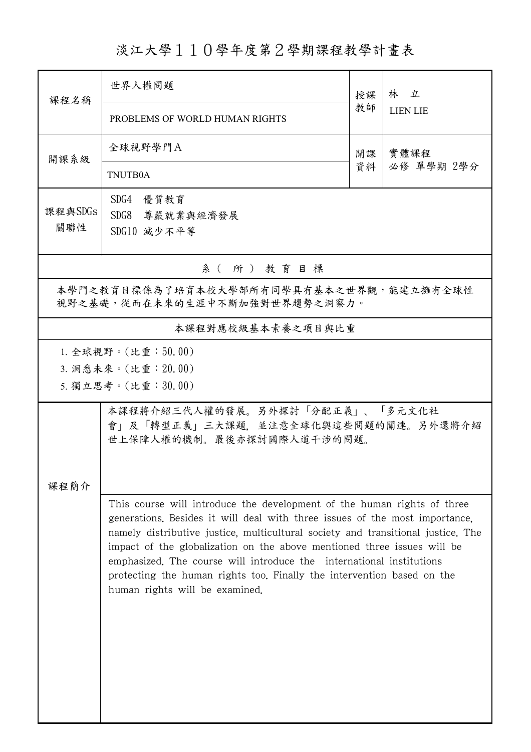## 淡江大學110學年度第2學期課程教學計畫表

| 課程名稱                                                                     | 世界人權問題                                                                                                                                                                                                                                                                                                                                                                                                                                                                                                    | 授課 | 林 立<br><b>LIEN LIE</b> |  |  |  |
|--------------------------------------------------------------------------|-----------------------------------------------------------------------------------------------------------------------------------------------------------------------------------------------------------------------------------------------------------------------------------------------------------------------------------------------------------------------------------------------------------------------------------------------------------------------------------------------------------|----|------------------------|--|--|--|
|                                                                          | PROBLEMS OF WORLD HUMAN RIGHTS                                                                                                                                                                                                                                                                                                                                                                                                                                                                            | 教師 |                        |  |  |  |
| 開課系級                                                                     | 全球視野學門A                                                                                                                                                                                                                                                                                                                                                                                                                                                                                                   | 開課 | 實體課程                   |  |  |  |
|                                                                          | TNUTB0A                                                                                                                                                                                                                                                                                                                                                                                                                                                                                                   | 資料 | 必修 單學期 2學分             |  |  |  |
| 課程與SDGs                                                                  | SDG4 優質教育<br>SDG8 尊嚴就業與經濟發展                                                                                                                                                                                                                                                                                                                                                                                                                                                                               |    |                        |  |  |  |
| 關聯性                                                                      |                                                                                                                                                                                                                                                                                                                                                                                                                                                                                                           |    |                        |  |  |  |
| 系(所)教育目標                                                                 |                                                                                                                                                                                                                                                                                                                                                                                                                                                                                                           |    |                        |  |  |  |
| 本學門之教育目標係為了培育本校大學部所有同學具有基本之世界觀,能建立擁有全球性<br>視野之基礎,從而在未來的生涯中不斷加強對世界趨勢之洞察力。 |                                                                                                                                                                                                                                                                                                                                                                                                                                                                                                           |    |                        |  |  |  |
|                                                                          | 本課程對應校級基本素養之項目與比重                                                                                                                                                                                                                                                                                                                                                                                                                                                                                         |    |                        |  |  |  |
| 1. 全球視野。(比重:50.00)<br>3. 洞悉未來。(比重: 20.00)<br>5. 獨立思考。(比重:30.00)          |                                                                                                                                                                                                                                                                                                                                                                                                                                                                                                           |    |                        |  |  |  |
| 課程簡介                                                                     | 本課程將介紹三代人權的發展。另外探討「分配正義」、「多元文化社<br>會」及「轉型正義」三大課題,並注意全球化與這些問題的關連。另外還將介紹<br>世上保障人權的機制。最後亦探討國際人道干涉的問題。                                                                                                                                                                                                                                                                                                                                                                                                       |    |                        |  |  |  |
|                                                                          | This course will introduce the development of the human rights of three<br>generations. Besides it will deal with three issues of the most importance,<br>namely distributive justice, multicultural society and transitional justice. The<br>impact of the globalization on the above mentioned three issues will be<br>emphasized. The course will introduce the international institutions<br>protecting the human rights too. Finally the intervention based on the<br>human rights will be examined. |    |                        |  |  |  |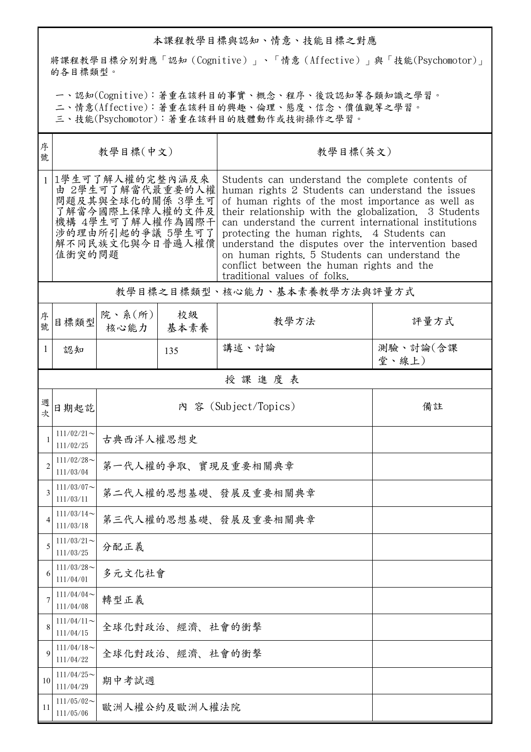## 本課程教學目標與認知、情意、技能目標之對應

將課程教學目標分別對應「認知(Cognitive)」、「情意(Affective)」與「技能(Psychomotor)」 的各目標類型。

一、認知(Cognitive):著重在該科目的事實、概念、程序、後設認知等各類知識之學習。

二、情意(Affective):著重在該科目的興趣、倫理、態度、信念、價值觀等之學習。

三、技能(Psychomotor):著重在該科目的肢體動作或技術操作之學習。

| 序<br>號         | 教學目標(中文)                                                                                                                                        |                                     |                      | 教學目標(英文)                                                                                                                                                                                                                                                                                                                                                                                                                                                                                                          |                   |  |  |
|----------------|-------------------------------------------------------------------------------------------------------------------------------------------------|-------------------------------------|----------------------|-------------------------------------------------------------------------------------------------------------------------------------------------------------------------------------------------------------------------------------------------------------------------------------------------------------------------------------------------------------------------------------------------------------------------------------------------------------------------------------------------------------------|-------------------|--|--|
|                | 1學生可了解人權的完整內涵及來<br>由 2學生可了解當代最重要的人權<br>問題及其與全球化的關係 3學生可<br>了解當今國際上保障人權的文件及<br>機構 4學生可了解人權作為國際干<br>涉的理由所引起的爭議 5學生可了<br>解不同民族文化與今日普遍人權價<br>值衝突的問題 |                                     |                      | Students can understand the complete contents of<br>human rights 2 Students can understand the issues<br>of human rights of the most importance as well as<br>their relationship with the globalization. 3 Students<br>can understand the current international institutions<br>protecting the human rights. 4 Students can<br>understand the disputes over the intervention based<br>on human rights. 5 Students can understand the<br>conflict between the human rights and the<br>traditional values of folks. |                   |  |  |
|                |                                                                                                                                                 |                                     |                      | 教學目標之目標類型、核心能力、基本素養教學方法與評量方式                                                                                                                                                                                                                                                                                                                                                                                                                                                                                      |                   |  |  |
| 序號             | 目標類型                                                                                                                                            | 院、系 $(\hbox{\tt m})$<br>核心能力   基本素養 | 校級                   | 教學方法                                                                                                                                                                                                                                                                                                                                                                                                                                                                                                              | 評量方式              |  |  |
| 1              | 認知                                                                                                                                              |                                     | 135                  | 講述、討論                                                                                                                                                                                                                                                                                                                                                                                                                                                                                                             | 測驗、討論(含課<br>堂、線上) |  |  |
|                | 授課進度表                                                                                                                                           |                                     |                      |                                                                                                                                                                                                                                                                                                                                                                                                                                                                                                                   |                   |  |  |
| 週<br>欤         | 日期起訖                                                                                                                                            |                                     |                      | 內 容 (Subject/Topics)                                                                                                                                                                                                                                                                                                                                                                                                                                                                                              | 備註                |  |  |
| $\mathbf{1}$   | $111/02/21$ ~<br>111/02/25                                                                                                                      | 古典西洋人權思想史                           |                      |                                                                                                                                                                                                                                                                                                                                                                                                                                                                                                                   |                   |  |  |
| $\overline{2}$ | $111/02/28$ ~<br>111/03/04                                                                                                                      | 第一代人權的爭取、實現及重要相關典章                  |                      |                                                                                                                                                                                                                                                                                                                                                                                                                                                                                                                   |                   |  |  |
| 3              | $111/03/07$ ~<br>111/03/11                                                                                                                      | 第二代人權的思想基礎、發展及重要相關典章                |                      |                                                                                                                                                                                                                                                                                                                                                                                                                                                                                                                   |                   |  |  |
|                | $111/03/14$ ~<br>111/03/18                                                                                                                      |                                     | 第三代人權的思想基礎、發展及重要相關典章 |                                                                                                                                                                                                                                                                                                                                                                                                                                                                                                                   |                   |  |  |
| 5              | $111/03/21$ ~<br>111/03/25                                                                                                                      | 分配正義                                |                      |                                                                                                                                                                                                                                                                                                                                                                                                                                                                                                                   |                   |  |  |
| 6              | $111/03/28$ ~<br>111/04/01                                                                                                                      | 多元文化社會                              |                      |                                                                                                                                                                                                                                                                                                                                                                                                                                                                                                                   |                   |  |  |
| 7              | $111/04/04$ ~<br>111/04/08                                                                                                                      | 轉型正義                                |                      |                                                                                                                                                                                                                                                                                                                                                                                                                                                                                                                   |                   |  |  |
| 8              | $111/04/11$ ~<br>111/04/15                                                                                                                      | 全球化對政治、經濟、社會的衝擊                     |                      |                                                                                                                                                                                                                                                                                                                                                                                                                                                                                                                   |                   |  |  |
| 9              | $111/04/18$ ~<br>111/04/22                                                                                                                      | 全球化對政治、經濟、社會的衝擊                     |                      |                                                                                                                                                                                                                                                                                                                                                                                                                                                                                                                   |                   |  |  |
| 10             | $111/04/25$ ~<br>111/04/29                                                                                                                      | 期中考試週                               |                      |                                                                                                                                                                                                                                                                                                                                                                                                                                                                                                                   |                   |  |  |
| 11             | $111/05/02$ ~<br>111/05/06                                                                                                                      | 歐洲人權公約及歐洲人權法院                       |                      |                                                                                                                                                                                                                                                                                                                                                                                                                                                                                                                   |                   |  |  |